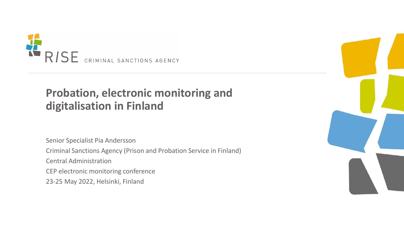

## **Probation, electronic monitoring and digitalisation in Finland**

Senior Specialist Pia Andersson Criminal Sanctions Agency (Prison and Probation Service in Finland) Central Administration CEP electronic monitoring conference 23-25 May 2022, Helsinki, Finland

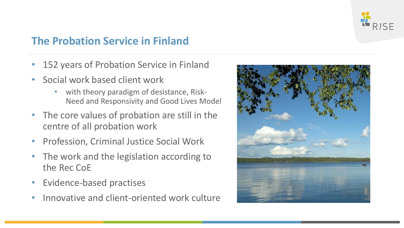

#### **The Probation Service in Finland**

- 152 years of Probation Service in Finland
- Social work based client work
	- with theory paradigm of desistance, Risk-Need and Responsivity and Good Lives Model
- The core values of probation are still in the centre of all probation work
- Profession, Criminal Justice Social Work
- The work and the legislation according to the Rec CoE
- Evidence-based practises
- Innovative and client-oriented work culture

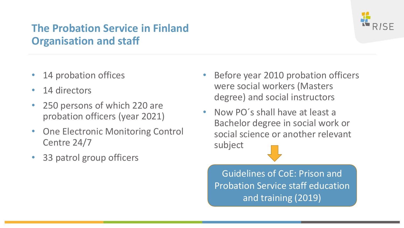### **The Probation Service in Finland Organisation and staff**

- 14 probation offices
- 14 directors
- 250 persons of which 220 are probation officers (year 2021)
- **One Electronic Monitoring Control** Centre 24/7
- 33 patrol group officers
- Before year 2010 probation officers were social workers (Masters degree) and social instructors
- Now PO´s shall have at least a Bachelor degree in social work or social science or another relevant subject

Guidelines of CoE: Prison and Probation Service staff education and training (2019)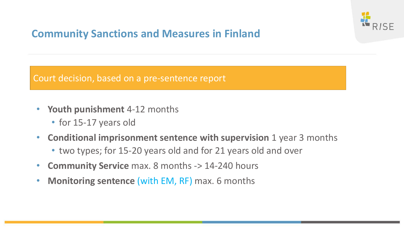

#### **Community Sanctions and Measures in Finland**

Court decision, based on a pre-sentence report

- **Youth punishment** 4-12 months
	- for 15-17 years old
- **Conditional imprisonment sentence with supervision** 1 year 3 months
	- two types; for 15-20 years old and for 21 years old and over
- **Community Service** max. 8 months -> 14-240 hours
- **Monitoring sentence** (with EM, RF) max. 6 months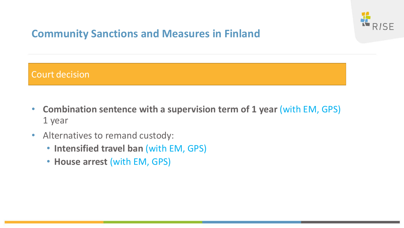

#### **Community Sanctions and Measures in Finland**

#### Court decision

- **Combination sentence with a supervision term of 1 year** (with EM, GPS) 1 year
- Alternatives to remand custody:
	- **Intensified travel ban** (with EM, GPS)
	- **House arrest** (with EM, GPS)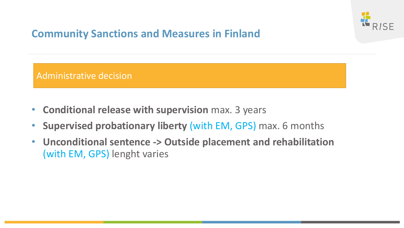

#### **Community Sanctions and Measures in Finland**

Administrative decision

- **Conditional release with supervision** max. 3 years
- **Supervised probationary liberty** (with EM, GPS) max. 6 months
- **Unconditional sentence -> Outside placement and rehabilitation**  (with EM, GPS) lenght varies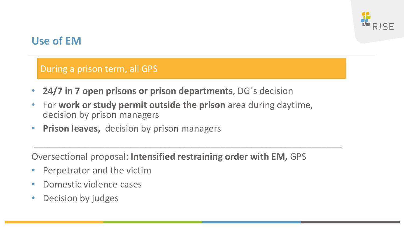

#### **Use of EM**

During a prison term, all GPS

- **24/7 in 7 open prisons or prison departments**, DG´s decision
- For **work or study permit outside the prison** area during daytime, decision by prison managers
- **Prison leaves,** decision by prison managers

Oversectional proposal: **Intensified restraining order with EM,** GPS

 $\overline{\phantom{a}}$ 

- Perpetrator and the victim
- Domestic violence cases
- Decision by judges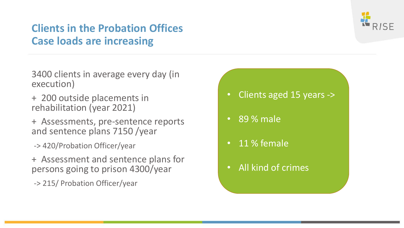#### **Clients in the Probation Offices Case loads are increasing**



3400 clients in average every day (in execution)

- + 200 outside placements in rehabilitation (year 2021)
- + Assessments, pre-sentence reports and sentence plans 7150 /year
- -> 420/Probation Officer/year
- + Assessment and sentence plans for persons going to prison 4300/year
- -> 215/ Probation Officer/year
- Clients aged 15 years ->
- 89 % male
- 11 % female
- All kind of crimes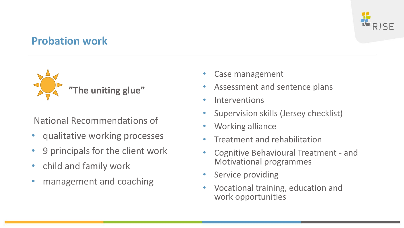

#### **Probation work**



National Recommendations of

- qualitative working processes
- 9 principals for the client work
- child and family work
- management and coaching
- Case management
- Assessment and sentence plans
- Interventions
- Supervision skills (Jersey checklist)
- Working alliance
- Treatment and rehabilitation
- Cognitive Behavioural Treatment and Motivational programmes
- Service providing
- Vocational training, education and work opportunities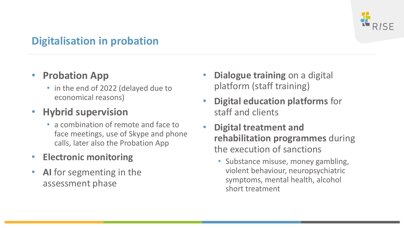

#### **Digitalisation in probation**

#### • **Probation App**

• in the end of 2022 (delayed due to economical reasons)

#### • **Hybrid supervision**

- a combination of remote and face to face meetings, use of Skype and phone calls, later also the Probation App
- **Electronic monitoring**
- **AI** for segmenting in the assessment phase
- **Dialogue training** on a digital platform (staff training)
- **Digital education platforms** for staff and clients
- **Digital treatment and rehabilitation programmes** during the execution of sanctions
	- Substance misuse, money gambling, violent behaviour, neuropsychiatric symptoms, mental health, alcohol short treatment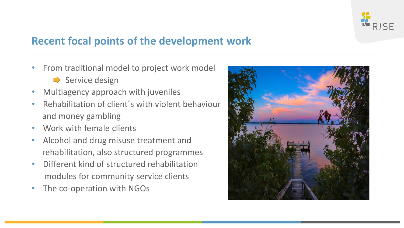

#### **Recent focal points of the development work**

- From traditional model to project work model
	- $\Rightarrow$  Service design
- Multiagency approach with juveniles
- Rehabilitation of client´s with violent behaviour and money gambling
- Work with female clients
- Alcohol and drug misuse treatment and rehabilitation, also structured programmes
- Different kind of structured rehabilitation modules for community service clients
- The co-operation with NGOs

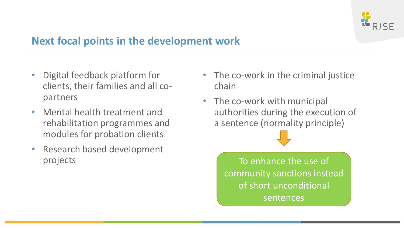

#### **Next focal points in the development work**

- Digital feedback platform for clients, their families and all copartners
- Mental health treatment and rehabilitation programmes and modules for probation clients
- Research based development projects
- The co-work in the criminal justice chain
- The co-work with municipal authorities during the execution of a sentence (normality principle)

To enhance the use of community sanctions instead of short unconditional sentences